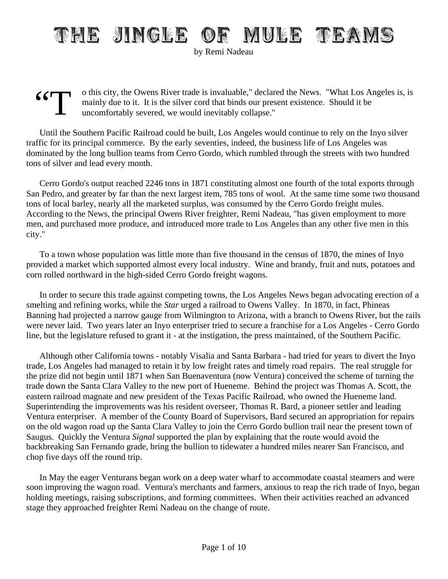## THE JINGLE OF MULE TEAMS

by Remi Nadeau

 $\frac{1}{\sqrt{2}}$ o this city, the Owens River trade is invaluable," declared the News. "What Los Angeles is, is mainly due to it. It is the silver cord that binds our present existence. Should it be uncomfortably severed, we would inevitably collapse."

Until the Southern Pacific Railroad could be built, Los Angeles would continue to rely on the Inyo silver traffic for its principal commerce. By the early seventies, indeed, the business life of Los Angeles was dominated by the long bullion teams from Cerro Gordo, which rumbled through the streets with two hundred tons of silver and lead every month.

Cerro Gordo's output reached 2246 tons in 1871 constituting almost one fourth of the total exports through San Pedro, and greater by far than the next largest item, 785 tons of wool. At the same time some two thousand tons of local barley, nearly all the marketed surplus, was consumed by the Cerro Gordo freight mules. According to the News, the principal Owens River freighter, Remi Nadeau, "has given employment to more men, and purchased more produce, and introduced more trade to Los Angeles than any other five men in this city."

To a town whose population was little more than five thousand in the census of 1870, the mines of Inyo provided a market which supported almost every local industry. Wine and brandy, fruit and nuts, potatoes and corn rolled northward in the high-sided Cerro Gordo freight wagons.

In order to secure this trade against competing towns, the Los Angeles News began advocating erection of a smelting and refining works, while the *Star* urged a railroad to Owens Valley. In 1870, in fact, Phineas Banning had projected a narrow gauge from Wilmington to Arizona, with a branch to Owens River, but the rails were never laid. Two years later an Inyo enterpriser tried to secure a franchise for a Los Angeles - Cerro Gordo line, but the legislature refused to grant it - at the instigation, the press maintained, of the Southern Pacific.

Although other California towns - notably Visalia and Santa Barbara - had tried for years to divert the Inyo trade, Los Angeles had managed to retain it by low freight rates and timely road repairs. The real struggle for the prize did not begin until 1871 when San Buenaventura (now Ventura) conceived the scheme of turning the trade down the Santa Clara Valley to the new port of Hueneme. Behind the project was Thomas A. Scott, the eastern railroad magnate and new president of the Texas Pacific Railroad, who owned the Hueneme land. Superintending the improvements was his resident overseer, Thomas R. Bard, a pioneer settler and leading Ventura enterpriser. A member of the County Board of Supervisors, Bard secured an appropriation for repairs on the old wagon road up the Santa Clara Valley to join the Cerro Gordo bullion trail near the present town of Saugus. Quickly the Ventura *Signal* supported the plan by explaining that the route would avoid the backbreaking San Fernando grade, bring the bullion to tidewater a hundred miles nearer San Francisco, and chop five days off the round trip.

In May the eager Venturans began work on a deep water wharf to accommodate coastal steamers and were soon improving the wagon road. Ventura's merchants and farmers, anxious to reap the rich trade of Inyo, began holding meetings, raising subscriptions, and forming committees. When their activities reached an advanced stage they approached freighter Remi Nadeau on the change of route.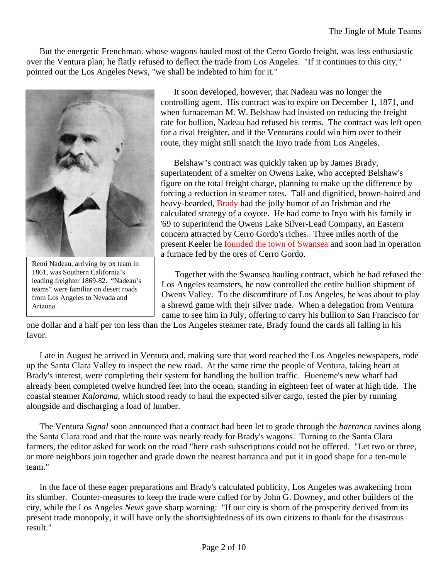But the energetic Frenchman. whose wagons hauled most of the Cerro Gordo freight, was less enthusiastic over the Ventura plan; he flatly refused to deflect the trade from Los Angeles. "If it continues to this city," pointed out the Los Angeles News, "we shall be indebted to him for it."



Remi Nadeau, arriving by ox team in 1861, was Southern California's leading freighter 1869-82. "Nadeau's teams" were familiar on desert roads from Los Angeles to Nevada and Arizona.

It soon developed, however, that Nadeau was no longer the controlling agent. His contract was to expire on December 1, 1871, and when furnaceman M. W. Belshaw had insisted on reducing the freight rate for bullion, Nadeau had refused his terms. The contract was left open for a rival freighter, and if the Venturans could win him over to their route, they might still snatch the Inyo trade from Los Angeles.

Belshaw"s contract was quickly taken up by James Brady, superintendent of a smelter on Owens Lake, who accepted Belshaw's figure on the total freight charge, planning to make up the difference by forcing a reduction in steamer rates. Tall and dignified, brown-haired and heavy-bearded, Brady had the jolly humor of an Irishman and the calculated strategy of a coyote. He had come to Inyo with his family in '69 to superintend the Owens Lake Silver-Lead Company, an Eastern concern attracted by Cerro Gordo's riches. Three miles north of the present Keeler he founded the town of Swansea and soon had in operation a furnace fed by the ores of Cerro Gordo.

Together with the Swansea hauling contract, which he had refused the Los Angeles teamsters, he now controlled the entire bullion shipment of Owens Valley. To the discomfiture of Los Angeles, he was about to play a shrewd game with their silver trade. When a delegation from Ventura came to see him in July, offering to carry his bullion to San Francisco for

one dollar and a half per ton less than the Los Angeles steamer rate, Brady found the cards all falling in his favor.

Late in August he arrived in Ventura and, making sure that word reached the Los Angeles newspapers, rode up the Santa Clara Valley to inspect the new road. At the same time the people of Ventura, taking heart at Brady's interest, were completing their system for handling the bullion traffic. Hueneme's new wharf had already been completed twelve hundred feet into the ocean, standing in eighteen feet of water at high tide. The coastal steamer *Kalorama*, which stood ready to haul the expected silver cargo, tested the pier by running alongside and discharging a load of lumber.

The Ventura *Signal* soon announced that a contract had been let to grade through the *barranca* ravines along the Santa Clara road and that the route was nearly ready for Brady's wagons. Turning to the Santa Clara farmers, the editor asked for work on the road "here cash subscriptions could not be offered. "Let two or three, or more neighbors join together and grade down the nearest barranca and put it in good shape for a ten-mule team."

In the face of these eager preparations and Brady's calculated publicity, Los Angeles was awakening from its slumber. Counter-measures to keep the trade were called for by John G. Downey, and other builders of the city, while the Los Angeles *News* gave sharp warning: "If our city is shorn of the prosperity derived from its present trade monopoly, it will have only the shortsightedness of its own citizens to thank for the disastrous result."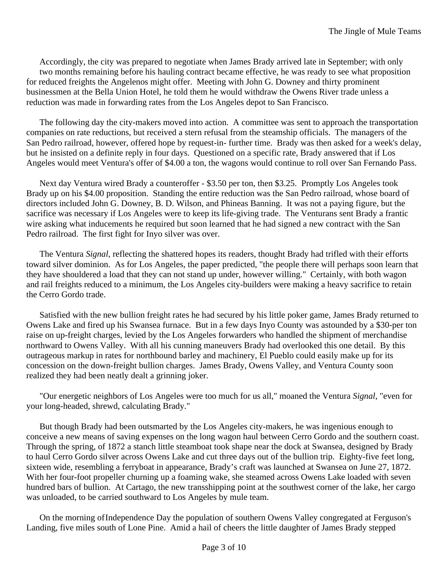Accordingly, the city was prepared to negotiate when James Brady arrived late in September; with only two months remaining before his hauling contract became effective, he was ready to see what proposition for reduced freights the Angelenos might offer. Meeting with John G. Downey and thirty prominent businessmen at the Bella Union Hotel, he told them he would withdraw the Owens River trade unless a reduction was made in forwarding rates from the Los Angeles depot to San Francisco.

The following day the city-makers moved into action. A committee was sent to approach the transportation companies on rate reductions, but received a stern refusal from the steamship officials. The managers of the San Pedro railroad, however, offered hope by request-in- further time. Brady was then asked for a week's delay, but he insisted on a definite reply in four days. Questioned on a specific rate, Brady answered that if Los Angeles would meet Ventura's offer of \$4.00 a ton, the wagons would continue to roll over San Fernando Pass.

Next day Ventura wired Brady a counteroffer - \$3.50 per ton, then \$3.25. Promptly Los Angeles took Brady up on his \$4.00 proposition. Standing the entire reduction was the San Pedro railroad, whose board of directors included John G. Downey, B. D. Wilson, and Phineas Banning. It was not a paying figure, but the sacrifice was necessary if Los Angeles were to keep its life-giving trade. The Venturans sent Brady a frantic wire asking what inducements he required but soon learned that he had signed a new contract with the San Pedro railroad. The first fight for Inyo silver was over.

The Ventura *Signal*, reflecting the shattered hopes its readers, thought Brady had trifled with their efforts toward silver dominion. As for Los Angeles, the paper predicted, "the people there will perhaps soon learn that they have shouldered a load that they can not stand up under, however willing." Certainly, with both wagon and rail freights reduced to a minimum, the Los Angeles city-builders were making a heavy sacrifice to retain the Cerro Gordo trade.

Satisfied with the new bullion freight rates he had secured by his little poker game, James Brady returned to Owens Lake and fired up his Swansea furnace. But in a few days Inyo County was astounded by a \$30-per ton raise on up-freight charges, levied by the Los Angeles forwarders who handled the shipment of merchandise northward to Owens Valley. With all his cunning maneuvers Brady had overlooked this one detail. By this outrageous markup in rates for northbound barley and machinery, El Pueblo could easily make up for its concession on the down-freight bullion charges. James Brady, Owens Valley, and Ventura County soon realized they had been neatly dealt a grinning joker.

"Our energetic neighbors of Los Angeles were too much for us all," moaned the Ventura *Signal*, "even for your long-headed, shrewd, calculating Brady."

But though Brady had been outsmarted by the Los Angeles city-makers, he was ingenious enough to conceive a new means of saving expenses on the long wagon haul between Cerro Gordo and the southern coast. Through the spring, of 1872 a stanch little steamboat took shape near the dock at Swansea, designed by Brady to haul Cerro Gordo silver across Owens Lake and cut three days out of the bullion trip. Eighty-five feet long, sixteen wide, resembling a ferryboat in appearance, Brady's craft was launched at Swansea on June 27, 1872. With her four-foot propeller churning up a foaming wake, she steamed across Owens Lake loaded with seven hundred bars of bullion. At Cartago, the new transshipping point at the southwest corner of the lake, her cargo was unloaded, to be carried southward to Los Angeles by mule team.

On the morning ofIndependence Day the population of southern Owens Valley congregated at Ferguson's Landing, five miles south of Lone Pine. Amid a hail of cheers the little daughter of James Brady stepped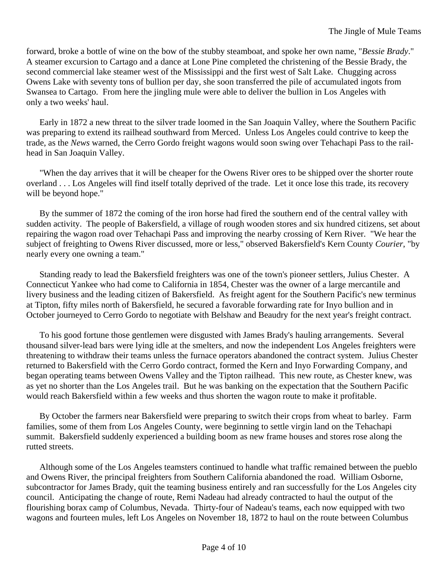forward, broke a bottle of wine on the bow of the stubby steamboat, and spoke her own name, "*Bessie Brady*." A steamer excursion to Cartago and a dance at Lone Pine completed the christening of the Bessie Brady, the second commercial lake steamer west of the Mississippi and the first west of Salt Lake. Chugging across Owens Lake with seventy tons of bullion per day, she soon transferred the pile of accumulated ingots from Swansea to Cartago. From here the jingling mule were able to deliver the bullion in Los Angeles with only a two weeks' haul.

Early in 1872 a new threat to the silver trade loomed in the San Joaquin Valley, where the Southern Pacific was preparing to extend its railhead southward from Merced. Unless Los Angeles could contrive to keep the trade, as the *News* warned, the Cerro Gordo freight wagons would soon swing over Tehachapi Pass to the railhead in San Joaquin Valley.

"When the day arrives that it will be cheaper for the Owens River ores to be shipped over the shorter route overland . . . Los Angeles will find itself totally deprived of the trade. Let it once lose this trade, its recovery will be beyond hope."

By the summer of 1872 the coming of the iron horse had fired the southern end of the central valley with sudden activity. The people of Bakersfield, a village of rough wooden stores and six hundred citizens, set about repairing the wagon road over Tehachapi Pass and improving the nearby crossing of Kern River. "We hear the subject of freighting to Owens River discussed, more or less," observed Bakersfield's Kern County *Courier*, "by nearly every one owning a team."

Standing ready to lead the Bakersfield freighters was one of the town's pioneer settlers, Julius Chester. A Connecticut Yankee who had come to California in 1854, Chester was the owner of a large mercantile and livery business and the leading citizen of Bakersfield. As freight agent for the Southern Pacific's new terminus at Tipton, fifty miles north of Bakersfield, he secured a favorable forwarding rate for Inyo bullion and in October journeyed to Cerro Gordo to negotiate with Belshaw and Beaudry for the next year's freight contract.

To his good fortune those gentlemen were disgusted with James Brady's hauling arrangements. Several thousand silver-lead bars were lying idle at the smelters, and now the independent Los Angeles freighters were threatening to withdraw their teams unless the furnace operators abandoned the contract system. Julius Chester returned to Bakersfield with the Cerro Gordo contract, formed the Kern and Inyo Forwarding Company, and began operating teams between Owens Valley and the Tipton railhead. This new route, as Chester knew, was as yet no shorter than the Los Angeles trail. But he was banking on the expectation that the Southern Pacific would reach Bakersfield within a few weeks and thus shorten the wagon route to make it profitable.

By October the farmers near Bakersfield were preparing to switch their crops from wheat to barley. Farm families, some of them from Los Angeles County, were beginning to settle virgin land on the Tehachapi summit. Bakersfield suddenly experienced a building boom as new frame houses and stores rose along the rutted streets.

Although some of the Los Angeles teamsters continued to handle what traffic remained between the pueblo and Owens River, the principal freighters from Southern California abandoned the road. William Osborne, subcontractor for James Brady, quit the teaming business entirely and ran successfully for the Los Angeles city council. Anticipating the change of route, Remi Nadeau had already contracted to haul the output of the flourishing borax camp of Columbus, Nevada. Thirty-four of Nadeau's teams, each now equipped with two wagons and fourteen mules, left Los Angeles on November 18, 1872 to haul on the route between Columbus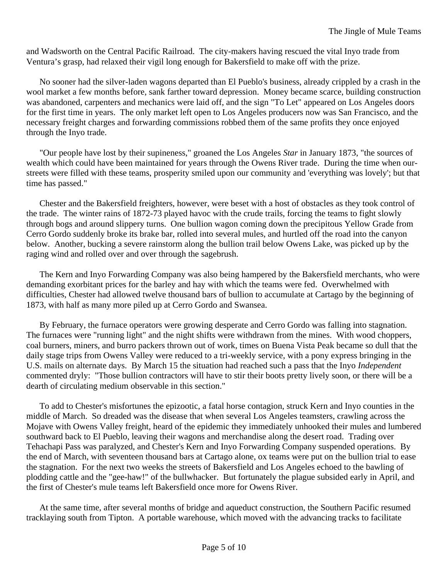and Wadsworth on the Central Pacific Railroad. The city-makers having rescued the vital Inyo trade from Ventura's grasp, had relaxed their vigil long enough for Bakersfield to make off with the prize.

No sooner had the silver-laden wagons departed than El Pueblo's business, already crippled by a crash in the wool market a few months before, sank farther toward depression. Money became scarce, building construction was abandoned, carpenters and mechanics were laid off, and the sign "To Let" appeared on Los Angeles doors for the first time in years. The only market left open to Los Angeles producers now was San Francisco, and the necessary freight charges and forwarding commissions robbed them of the same profits they once enjoyed through the Inyo trade.

"Our people have lost by their supineness," groaned the Los Angeles *Star* in January 1873, "the sources of wealth which could have been maintained for years through the Owens River trade. During the time when ourstreets were filled with these teams, prosperity smiled upon our community and 'everything was lovely'; but that time has passed."

Chester and the Bakersfield freighters, however, were beset with a host of obstacles as they took control of the trade. The winter rains of 1872-73 played havoc with the crude trails, forcing the teams to fight slowly through bogs and around slippery turns. One bullion wagon coming down the precipitous Yellow Grade from Cerro Gordo suddenly broke its brake bar, rolled into several mules, and hurtled off the road into the canyon below. Another, bucking a severe rainstorm along the bullion trail below Owens Lake, was picked up by the raging wind and rolled over and over through the sagebrush.

The Kern and Inyo Forwarding Company was also being hampered by the Bakersfield merchants, who were demanding exorbitant prices for the barley and hay with which the teams were fed. Overwhelmed with difficulties, Chester had allowed twelve thousand bars of bullion to accumulate at Cartago by the beginning of 1873, with half as many more piled up at Cerro Gordo and Swansea.

By February, the furnace operators were growing desperate and Cerro Gordo was falling into stagnation. The furnaces were "running light" and the night shifts were withdrawn from the mines. With wood choppers, coal burners, miners, and burro packers thrown out of work, times on Buena Vista Peak became so dull that the daily stage trips from Owens Valley were reduced to a tri-weekly service, with a pony express bringing in the U.S. mails on alternate days. By March 15 the situation had reached such a pass that the Inyo *Independent* commented dryly: "Those bullion contractors will have to stir their boots pretty lively soon, or there will be a dearth of circulating medium observable in this section."

To add to Chester's misfortunes the epizootic, a fatal horse contagion, struck Kern and Inyo counties in the middle of March. So dreaded was the disease that when several Los Angeles teamsters, crawling across the Mojave with Owens Valley freight, heard of the epidemic they immediately unhooked their mules and lumbered southward back to El Pueblo, leaving their wagons and merchandise along the desert road. Trading over Tehachapi Pass was paralyzed, and Chester's Kern and Inyo Forwarding Company suspended operations. By the end of March, with seventeen thousand bars at Cartago alone, ox teams were put on the bullion trial to ease the stagnation. For the next two weeks the streets of Bakersfield and Los Angeles echoed to the bawling of plodding cattle and the "gee-haw!" of the bullwhacker. But fortunately the plague subsided early in April, and the first of Chester's mule teams left Bakersfield once more for Owens River.

At the same time, after several months of bridge and aqueduct construction, the Southern Pacific resumed tracklaying south from Tipton. A portable warehouse, which moved with the advancing tracks to facilitate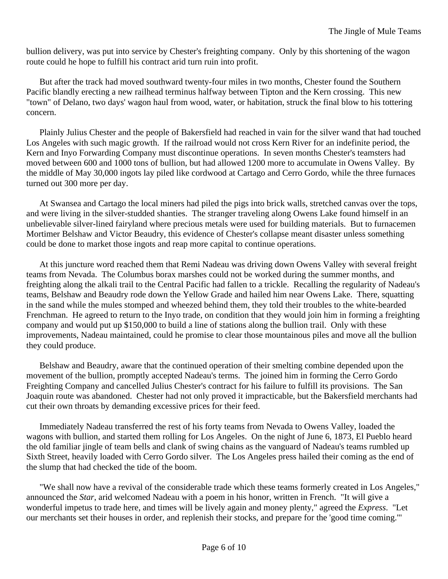bullion delivery, was put into service by Chester's freighting company. Only by this shortening of the wagon route could he hope to fulfill his contract arid turn ruin into profit.

But after the track had moved southward twenty-four miles in two months, Chester found the Southern Pacific blandly erecting a new railhead terminus halfway between Tipton and the Kern crossing. This new "town" of Delano, two days' wagon haul from wood, water, or habitation, struck the final blow to his tottering concern.

Plainly Julius Chester and the people of Bakersfield had reached in vain for the silver wand that had touched Los Angeles with such magic growth. If the railroad would not cross Kern River for an indefinite period, the Kern and Inyo Forwarding Company must discontinue operations. In seven months Chester's teamsters had moved between 600 and 1000 tons of bullion, but had allowed 1200 more to accumulate in Owens Valley. By the middle of May 30,000 ingots lay piled like cordwood at Cartago and Cerro Gordo, while the three furnaces turned out 300 more per day.

At Swansea and Cartago the local miners had piled the pigs into brick walls, stretched canvas over the tops, and were living in the silver-studded shanties. The stranger traveling along Owens Lake found himself in an unbelievable silver-lined fairyland where precious metals were used for building materials. But to furnacemen Mortimer Belshaw and Victor Beaudry, this evidence of Chester's collapse meant disaster unless something could be done to market those ingots and reap more capital to continue operations.

At this juncture word reached them that Remi Nadeau was driving down Owens Valley with several freight teams from Nevada. The Columbus borax marshes could not be worked during the summer months, and freighting along the alkali trail to the Central Pacific had fallen to a trickle. Recalling the regularity of Nadeau's teams, Belshaw and Beaudry rode down the Yellow Grade and hailed him near Owens Lake. There, squatting in the sand while the mules stomped and wheezed behind them, they told their troubles to the white-bearded Frenchman. He agreed to return to the Inyo trade, on condition that they would join him in forming a freighting company and would put up \$150,000 to build a line of stations along the bullion trail. Only with these improvements, Nadeau maintained, could he promise to clear those mountainous piles and move all the bullion they could produce.

Belshaw and Beaudry, aware that the continued operation of their smelting combine depended upon the movement of the bullion, promptly accepted Nadeau's terms. The joined him in forming the Cerro Gordo Freighting Company and cancelled Julius Chester's contract for his failure to fulfill its provisions. The San Joaquin route was abandoned. Chester had not only proved it impracticable, but the Bakersfield merchants had cut their own throats by demanding excessive prices for their feed.

Immediately Nadeau transferred the rest of his forty teams from Nevada to Owens Valley, loaded the wagons with bullion, and started them rolling for Los Angeles. On the night of June 6, 1873, El Pueblo heard the old familiar jingle of team bells and clank of swing chains as the vanguard of Nadeau's teams rumbled up Sixth Street, heavily loaded with Cerro Gordo silver. The Los Angeles press hailed their coming as the end of the slump that had checked the tide of the boom.

"We shall now have a revival of the considerable trade which these teams formerly created in Los Angeles," announced the *Star*, arid welcomed Nadeau with a poem in his honor, written in French. "It will give a wonderful impetus to trade here, and times will be lively again and money plenty," agreed the *Express*. "Let our merchants set their houses in order, and replenish their stocks, and prepare for the 'good time coming.'"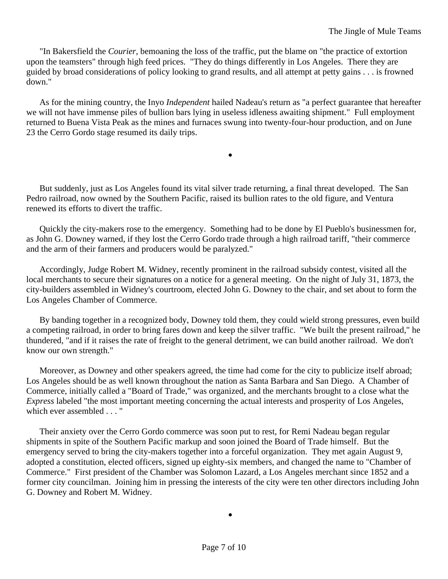"In Bakersfield the *Courier*, bemoaning the loss of the traffic, put the blame on "the practice of extortion upon the teamsters" through high feed prices. "They do things differently in Los Angeles. There they are guided by broad considerations of policy looking to grand results, and all attempt at petty gains . . . is frowned down."

As for the mining country, the Inyo *Independent* hailed Nadeau's return as "a perfect guarantee that hereafter we will not have immense piles of bullion bars lying in useless idleness awaiting shipment." Full employment returned to Buena Vista Peak as the mines and furnaces swung into twenty-four-hour production, and on June 23 the Cerro Gordo stage resumed its daily trips.

•

But suddenly, just as Los Angeles found its vital silver trade returning, a final threat developed. The San Pedro railroad, now owned by the Southern Pacific, raised its bullion rates to the old figure, and Ventura renewed its efforts to divert the traffic.

Quickly the city-makers rose to the emergency. Something had to be done by El Pueblo's businessmen for, as John G. Downey warned, if they lost the Cerro Gordo trade through a high railroad tariff, "their commerce and the arm of their farmers and producers would be paralyzed."

Accordingly, Judge Robert M. Widney, recently prominent in the railroad subsidy contest, visited all the local merchants to secure their signatures on a notice for a general meeting. On the night of July 31, 1873, the city-builders assembled in Widney's courtroom, elected John G. Downey to the chair, and set about to form the Los Angeles Chamber of Commerce.

By banding together in a recognized body, Downey told them, they could wield strong pressures, even build a competing railroad, in order to bring fares down and keep the silver traffic. "We built the present railroad," he thundered, "and if it raises the rate of freight to the general detriment, we can build another railroad. We don't know our own strength."

Moreover, as Downey and other speakers agreed, the time had come for the city to publicize itself abroad; Los Angeles should be as well known throughout the nation as Santa Barbara and San Diego. A Chamber of Commerce, initially called a "Board of Trade," was organized, and the merchants brought to a close what the *Express* labeled "the most important meeting concerning the actual interests and prosperity of Los Angeles, which ever assembled . . . "

Their anxiety over the Cerro Gordo commerce was soon put to rest, for Remi Nadeau began regular shipments in spite of the Southern Pacific markup and soon joined the Board of Trade himself. But the emergency served to bring the city-makers together into a forceful organization. They met again August 9, adopted a constitution, elected officers, signed up eighty-six members, and changed the name to "Chamber of Commerce." First president of the Chamber was Solomon Lazard, a Los Angeles merchant since 1852 and a former city councilman. Joining him in pressing the interests of the city were ten other directors including John G. Downey and Robert M. Widney.

•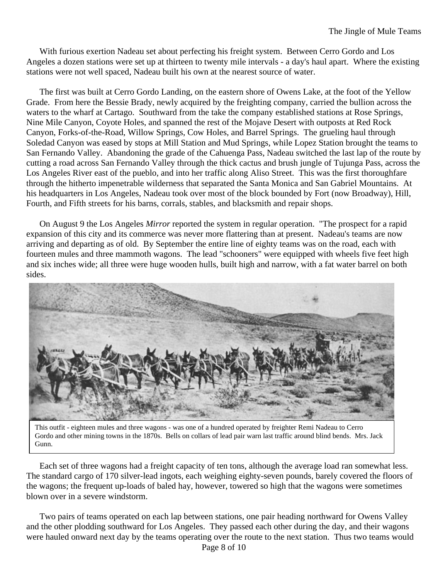With furious exertion Nadeau set about perfecting his freight system. Between Cerro Gordo and Los Angeles a dozen stations were set up at thirteen to twenty mile intervals - a day's haul apart. Where the existing stations were not well spaced, Nadeau built his own at the nearest source of water.

The first was built at Cerro Gordo Landing, on the eastern shore of Owens Lake, at the foot of the Yellow Grade. From here the Bessie Brady, newly acquired by the freighting company, carried the bullion across the waters to the wharf at Cartago. Southward from the take the company established stations at Rose Springs, Nine Mile Canyon, Coyote Holes, and spanned the rest of the Mojave Desert with outposts at Red Rock Canyon, Forks-of-the-Road, Willow Springs, Cow Holes, and Barrel Springs. The grueling haul through Soledad Canyon was eased by stops at Mill Station and Mud Springs, while Lopez Station brought the teams to San Fernando Valley. Abandoning the grade of the Cahuenga Pass, Nadeau switched the last lap of the route by cutting a road across San Fernando Valley through the thick cactus and brush jungle of Tujunga Pass, across the Los Angeles River east of the pueblo, and into her traffic along Aliso Street. This was the first thoroughfare through the hitherto impenetrable wilderness that separated the Santa Monica and San Gabriel Mountains. At his headquarters in Los Angeles, Nadeau took over most of the block bounded by Fort (now Broadway), Hill, Fourth, and Fifth streets for his barns, corrals, stables, and blacksmith and repair shops.

On August 9 the Los Angeles *Mirror* reported the system in regular operation. "The prospect for a rapid expansion of this city and its commerce was never more flattering than at present. Nadeau's teams are now arriving and departing as of old. By September the entire line of eighty teams was on the road, each with fourteen mules and three mammoth wagons. The lead "schooners" were equipped with wheels five feet high and six inches wide; all three were huge wooden hulls, built high and narrow, with a fat water barrel on both sides.



This outfit - eighteen mules and three wagons - was one of a hundred operated by freighter Remi Nadeau to Cerro Gordo and other mining towns in the 1870s. Bells on collars of lead pair warn last traffic around blind bends. Mrs. Jack Gunn.

Each set of three wagons had a freight capacity of ten tons, although the average load ran somewhat less. The standard cargo of 170 silver-lead ingots, each weighing eighty-seven pounds, barely covered the floors of the wagons; the frequent up-loads of baled hay, however, towered so high that the wagons were sometimes blown over in a severe windstorm.

Two pairs of teams operated on each lap between stations, one pair heading northward for Owens Valley and the other plodding southward for Los Angeles. They passed each other during the day, and their wagons were hauled onward next day by the teams operating over the route to the next station. Thus two teams would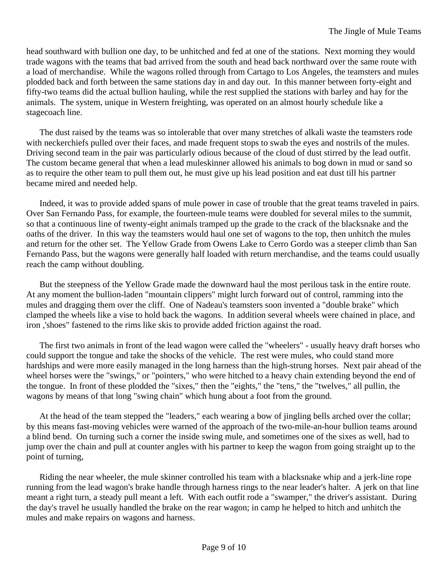head southward with bullion one day, to be unhitched and fed at one of the stations. Next morning they would trade wagons with the teams that bad arrived from the south and head back northward over the same route with a load of merchandise. While the wagons rolled through from Cartago to Los Angeles, the teamsters and mules plodded back and forth between the same stations day in and day out. In this manner between forty-eight and fifty-two teams did the actual bullion hauling, while the rest supplied the stations with barley and hay for the animals. The system, unique in Western freighting, was operated on an almost hourly schedule like a stagecoach line.

The dust raised by the teams was so intolerable that over many stretches of alkali waste the teamsters rode with neckerchiefs pulled over their faces, and made frequent stops to swab the eyes and nostrils of the mules. Driving second team in the pair was particularly odious because of the cloud of dust stirred by the lead outfit. The custom became general that when a lead muleskinner allowed his animals to bog down in mud or sand so as to require the other team to pull them out, he must give up his lead position and eat dust till his partner became mired and needed help.

Indeed, it was to provide added spans of mule power in case of trouble that the great teams traveled in pairs. Over San Fernando Pass, for example, the fourteen-mule teams were doubled for several miles to the summit, so that a continuous line of twenty-eight animals tramped up the grade to the crack of the blacksnake and the oaths of the driver. In this way the teamsters would haul one set of wagons to the top, then unhitch the mules and return for the other set. The Yellow Grade from Owens Lake to Cerro Gordo was a steeper climb than San Fernando Pass, but the wagons were generally half loaded with return merchandise, and the teams could usually reach the camp without doubling.

But the steepness of the Yellow Grade made the downward haul the most perilous task in the entire route. At any moment the bullion-laden "mountain clippers" might lurch forward out of control, ramming into the mules and dragging them over the cliff. One of Nadeau's teamsters soon invented a "double brake" which clamped the wheels like a vise to hold back the wagons. In addition several wheels were chained in place, and iron ,'shoes" fastened to the rims like skis to provide added friction against the road.

The first two animals in front of the lead wagon were called the "wheelers" - usually heavy draft horses who could support the tongue and take the shocks of the vehicle. The rest were mules, who could stand more hardships and were more easily managed in the long harness than the high-strung horses. Next pair ahead of the wheel horses were the "swings," or "pointers," who were hitched to a heavy chain extending beyond the end of the tongue. In front of these plodded the "sixes," then the "eights," the "tens," the "twelves," all pullin, the wagons by means of that long "swing chain" which hung about a foot from the ground.

At the head of the team stepped the "leaders," each wearing a bow of jingling bells arched over the collar; by this means fast-moving vehicles were warned of the approach of the two-mile-an-hour bullion teams around a blind bend. On turning such a corner the inside swing mule, and sometimes one of the sixes as well, had to jump over the chain and pull at counter angles with his partner to keep the wagon from going straight up to the point of turning,

Riding the near wheeler, the mule skinner controlled his team with a blacksnake whip and a jerk-line rope running from the lead wagon's brake handle through harness rings to the near leader's halter. A jerk on that line meant a right turn, a steady pull meant a left. With each outfit rode a "swamper," the driver's assistant. During the day's travel he usually handled the brake on the rear wagon; in camp he helped to hitch and unhitch the mules and make repairs on wagons and harness.